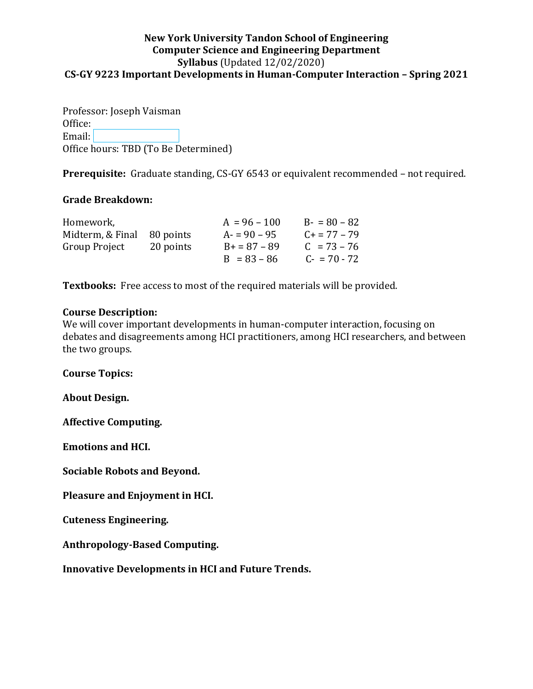## **New York University Tandon School of Engineering Computer Science and Engineering Department Syllabus** (Updated 12/02/2020) **CS-GY 9223 Important Developments in Human-Computer Interaction – Spring 2021**

Professor: Joseph Vaisman Office: Email:**Email:** Office hours: TBD (To Be Determined)

**Prerequisite:** Graduate standing, CS-GY 6543 or equivalent recommended – not required.

## **Grade Breakdown:**

| Homework,        |           | $A = 96 - 100$ | $B - 80 - 82$     |
|------------------|-----------|----------------|-------------------|
| Midterm, & Final | 80 points | $A = 90 - 95$  | $C_{+}$ = 77 – 79 |
| Group Project    | 20 points | $B = 87 - 89$  | $C = 73 - 76$     |
|                  |           | $B = 83 - 86$  | $C - 70 - 72$     |

**Textbooks:** Free access to most of the required materials will be provided.

## **Course Description:**

We will cover important developments in human-computer interaction, focusing on debates and disagreements among HCI practitioners, among HCI researchers, and between the two groups.

**Course Topics:**

**About Design.**

**Affective Computing.**

**Emotions and HCI.**

**Sociable Robots and Beyond.**

**Pleasure and Enjoyment in HCI.**

**Cuteness Engineering.**

**Anthropology-Based Computing.**

**Innovative Developments in HCI and Future Trends.**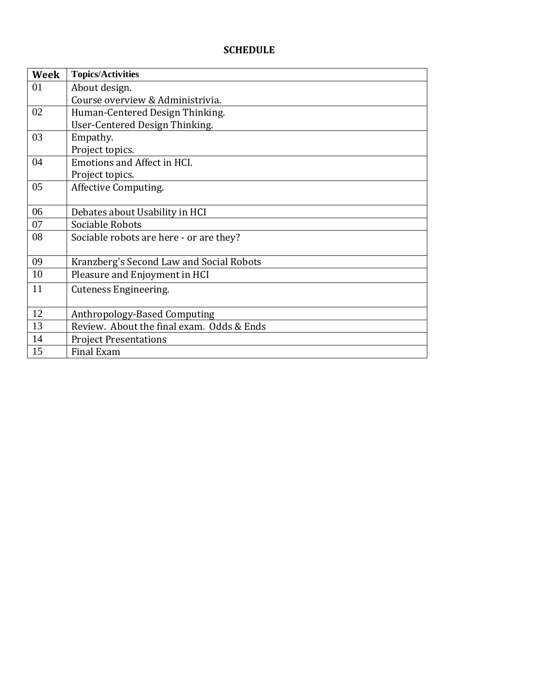## **SCHEDULE**

| Week | <b>Topics/Activities</b>                  |
|------|-------------------------------------------|
| 01   | About design.                             |
|      | Course overview & Administrivia.          |
| 02   | Human-Centered Design Thinking.           |
|      | User-Centered Design Thinking.            |
| 03   | Empathy.                                  |
|      | Project topics.                           |
| 04   | <b>Emotions and Affect in HCI.</b>        |
|      | Project topics.                           |
| 05   | Affective Computing.                      |
|      |                                           |
| 06   | Debates about Usability in HCI            |
| 07   | Sociable Robots                           |
| 08   | Sociable robots are here - or are they?   |
|      |                                           |
| 09   | Kranzberg's Second Law and Social Robots  |
| 10   | Pleasure and Enjoyment in HCI             |
| 11   | Cuteness Engineering.                     |
|      |                                           |
| 12   | Anthropology-Based Computing              |
| 13   | Review. About the final exam. Odds & Ends |
| 14   | <b>Project Presentations</b>              |
| 15   | <b>Final Exam</b>                         |